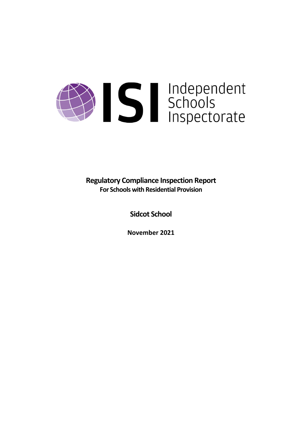# Schools<br>Schools<br>Inspectorate

**Regulatory Compliance Inspection Report For Schools with Residential Provision**

**Sidcot School**

**November 2021**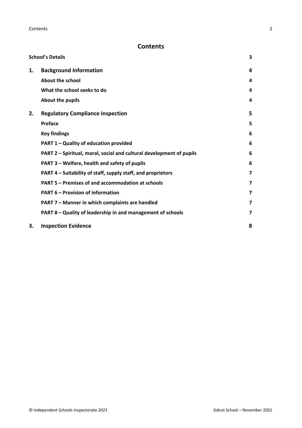**Contents** 2

# **Contents**

|    | <b>School's Details</b>                                              | 3                       |
|----|----------------------------------------------------------------------|-------------------------|
| 1. | <b>Background Information</b>                                        | 4                       |
|    | About the school                                                     | 4                       |
|    | What the school seeks to do                                          | 4                       |
|    | About the pupils                                                     | 4                       |
| 2. | <b>Regulatory Compliance Inspection</b>                              | 5                       |
|    | <b>Preface</b>                                                       | 5                       |
|    | <b>Key findings</b>                                                  | 6                       |
|    | PART 1 - Quality of education provided                               | 6                       |
|    | PART 2 - Spiritual, moral, social and cultural development of pupils | 6                       |
|    | PART 3 – Welfare, health and safety of pupils                        | 6                       |
|    | PART 4 – Suitability of staff, supply staff, and proprietors         | $\overline{\mathbf{z}}$ |
|    | PART 5 – Premises of and accommodation at schools                    | 7                       |
|    | <b>PART 6 - Provision of information</b>                             | 7                       |
|    | PART 7 - Manner in which complaints are handled                      | 7                       |
|    | PART 8 - Quality of leadership in and management of schools          | $\overline{\mathbf{z}}$ |
| З. | <b>Inspection Evidence</b>                                           | 8                       |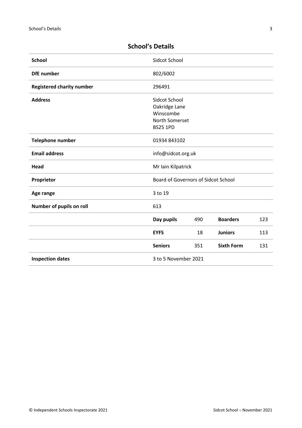| <b>School</b>                    | Sidcot School                       |     |                   |     |
|----------------------------------|-------------------------------------|-----|-------------------|-----|
| <b>DfE</b> number                | 802/6002                            |     |                   |     |
| <b>Registered charity number</b> | 296491                              |     |                   |     |
| <b>Address</b>                   | Sidcot School                       |     |                   |     |
|                                  | Oakridge Lane                       |     |                   |     |
|                                  | Winscombe                           |     |                   |     |
|                                  | North Somerset                      |     |                   |     |
|                                  | <b>BS25 1PD</b>                     |     |                   |     |
| <b>Telephone number</b>          | 01934 843102                        |     |                   |     |
| <b>Email address</b>             | info@sidcot.org.uk                  |     |                   |     |
| Head                             | Mr Iain Kilpatrick                  |     |                   |     |
| Proprietor                       | Board of Governors of Sidcot School |     |                   |     |
| Age range                        | 3 to 19                             |     |                   |     |
| Number of pupils on roll         | 613                                 |     |                   |     |
|                                  | Day pupils                          | 490 | <b>Boarders</b>   | 123 |
|                                  | <b>EYFS</b>                         | 18  | <b>Juniors</b>    | 113 |
|                                  | <b>Seniors</b>                      | 351 | <b>Sixth Form</b> | 131 |
| <b>Inspection dates</b>          | 3 to 5 November 2021                |     |                   |     |

# <span id="page-2-0"></span>**School's Details**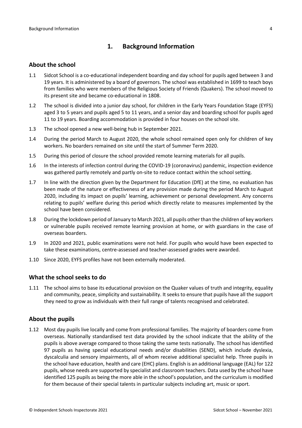# <span id="page-3-0"></span>**1. Background Information**

#### <span id="page-3-1"></span>**About the school**

- 1.1 Sidcot School is a co-educational independent boarding and day school for pupils aged between 3 and 19 years. It is administered by a board of governors. The school was established in 1699 to teach boys from families who were members of the Religious Society of Friends (Quakers). The school moved to its present site and became co-educational in 1808.
- 1.2 The school is divided into a junior day school, for children in the Early Years Foundation Stage (EYFS) aged 3 to 5 years and pupils aged 5 to 11 years, and a senior day and boarding school for pupils aged 11 to 19 years. Boarding accommodation is provided in four houses on the school site.
- 1.3 The school opened a new well-being hub in September 2021.
- 1.4 During the period March to August 2020, the whole school remained open only for children of key workers. No boarders remained on site until the start of Summer Term 2020.
- 1.5 During this period of closure the school provided remote learning materials for all pupils.
- 1.6 In the interests of infection control during the COVID-19 (coronavirus) pandemic, inspection evidence was gathered partly remotely and partly on-site to reduce contact within the school setting.
- 1.7 In line with the direction given by the Department for Education (DfE) at the time, no evaluation has been made of the nature or effectiveness of any provision made during the period March to August 2020, including its impact on pupils' learning, achievement or personal development. Any concerns relating to pupils' welfare during this period which directly relate to measures implemented by the school have been considered.
- 1.8 During the lockdown period of January to March 2021, all pupils other than the children of key workers or vulnerable pupils received remote learning provision at home, or with guardians in the case of overseas boarders.
- 1.9 In 2020 and 2021, public examinations were not held. For pupils who would have been expected to take these examinations, centre-assessed and teacher-assessed grades were awarded.
- 1.10 Since 2020, EYFS profiles have not been externally moderated.

#### <span id="page-3-2"></span>**What the school seeks to do**

1.11 The school aims to base its educational provision on the Quaker values of truth and integrity, equality and community, peace, simplicity and sustainability. It seeks to ensure that pupils have all the support they need to grow as individuals with their full range of talents recognised and celebrated.

#### <span id="page-3-3"></span>**About the pupils**

1.12 Most day pupils live locally and come from professional families. The majority of boarders come from overseas. Nationally standardised test data provided by the school indicate that the ability of the pupils is above average compared to those taking the same tests nationally. The school has identified 97 pupils as having special educational needs and/or disabilities (SEND), which include dyslexia, dyscalculia and sensory impairments, all of whom receive additional specialist help. Three pupils in the school have education, health and care (EHC) plans. English is an additional language (EAL) for 122 pupils, whose needs are supported by specialist and classroom teachers. Data used by the school have identified 125 pupils as being the more able in the school's population, and the curriculum is modified for them because of their special talents in particular subjects including art, music or sport.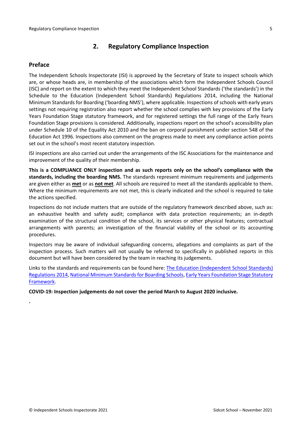# <span id="page-4-0"></span>**2. Regulatory Compliance Inspection**

## <span id="page-4-1"></span>**Preface**

**.**

The Independent Schools Inspectorate (ISI) is approved by the Secretary of State to inspect schools which are, or whose heads are, in membership of the associations which form the Independent Schools Council (ISC) and report on the extent to which they meet the Independent School Standards ('the standards') in the Schedule to the Education (Independent School Standards) Regulations 2014, including the National Minimum Standards for Boarding ('boarding NMS'), where applicable. Inspections ofschools with early years settings not requiring registration also report whether the school complies with key provisions of the Early Years Foundation Stage statutory framework, and for registered settings the full range of the Early Years Foundation Stage provisions is considered. Additionally, inspections report on the school's accessibility plan under Schedule 10 of the Equality Act 2010 and the ban on corporal punishment under section 548 of the Education Act 1996. Inspections also comment on the progress made to meet any compliance action points set out in the school's most recent statutory inspection.

ISI inspections are also carried out under the arrangements of the ISC Associations for the maintenance and improvement of the quality of their membership.

**This is a COMPLIANCE ONLY inspection and as such reports only on the school's compliance with the standards, including the boarding NMS.** The standards represent minimum requirements and judgements are given either as **met** or as **not met**. All schools are required to meet all the standards applicable to them. Where the minimum requirements are not met, this is clearly indicated and the school is required to take the actions specified.

Inspections do not include matters that are outside of the regulatory framework described above, such as: an exhaustive health and safety audit; compliance with data protection requirements; an in-depth examination of the structural condition of the school, its services or other physical features; contractual arrangements with parents; an investigation of the financial viability of the school or its accounting procedures.

Inspectors may be aware of individual safeguarding concerns, allegations and complaints as part of the inspection process. Such matters will not usually be referred to specifically in published reports in this document but will have been considered by the team in reaching its judgements.

Links to the standards and requirements can be found here: The Education [\(Independent](http://www.legislation.gov.uk/uksi/2014/3283/contents/made) School Standards) [Regulations](http://www.legislation.gov.uk/uksi/2014/3283/contents/made) 2014, National Minimum Standards for Boarding Schools, Early Years [Foundation](https://www.gov.uk/government/publications/early-years-foundation-stage-framework--2) Stage Statutory [Framework.](https://www.gov.uk/government/publications/early-years-foundation-stage-framework--2)

**COVID-19: Inspection judgements do not cover the period March to August 2020 inclusive.**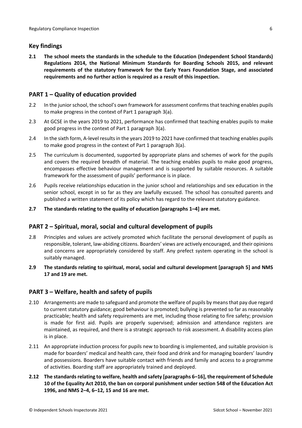## <span id="page-5-0"></span>**Key findings**

**2.1 The school meets the standards in the schedule to the Education (Independent School Standards) Regulations 2014, the National Minimum Standards for Boarding Schools 2015, and relevant requirements of the statutory framework for the Early Years Foundation Stage, and associated requirements and no further action is required as a result of this inspection.**

# <span id="page-5-1"></span>**PART 1 – Quality of education provided**

- 2.2 In the junior school, the school's own framework for assessment confirms that teaching enables pupils to make progress in the context of Part 1 paragraph 3(a).
- 2.3 At GCSE in the years 2019 to 2021, performance has confirmed that teaching enables pupils to make good progress in the context of Part 1 paragraph 3(a).
- 2.4 In the sixth form, A-level resultsin the years 2019 to 2021 have confirmed that teaching enables pupils to make good progress in the context of Part 1 paragraph 3(a).
- 2.5 The curriculum is documented, supported by appropriate plans and schemes of work for the pupils and covers the required breadth of material. The teaching enables pupils to make good progress, encompasses effective behaviour management and is supported by suitable resources. A suitable framework for the assessment of pupils' performance is in place.
- 2.6 Pupils receive relationships education in the junior school and relationships and sex education in the senior school, except in so far as they are lawfully excused. The school has consulted parents and published a written statement of its policy which has regard to the relevant statutory guidance.
- **2.7 The standards relating to the quality of education [paragraphs 1–4] are met.**

### <span id="page-5-2"></span>**PART 2 – Spiritual, moral, social and cultural development of pupils**

- 2.8 Principles and values are actively promoted which facilitate the personal development of pupils as responsible, tolerant, law-abiding citizens. Boarders' views are actively encouraged, and their opinions and concerns are appropriately considered by staff. Any prefect system operating in the school is suitably managed.
- **2.9 The standards relating to spiritual, moral, social and cultural development [paragraph 5] and NMS 17 and 19 are met.**

### <span id="page-5-3"></span>**PART 3 – Welfare, health and safety of pupils**

- 2.10 Arrangements are made to safeguard and promote the welfare of pupils by means that pay due regard to current statutory guidance; good behaviour is promoted; bullying is prevented so far as reasonably practicable; health and safety requirements are met, including those relating to fire safety; provision is made for first aid. Pupils are properly supervised; admission and attendance registers are maintained, as required, and there is a strategic approach to risk assessment. A disability access plan is in place.
- 2.11 An appropriate induction process for pupils new to boarding is implemented, and suitable provision is made for boarders' medical and health care, their food and drink and for managing boarders' laundry and possessions. Boarders have suitable contact with friends and family and access to a programme of activities. Boarding staff are appropriately trained and deployed.
- **2.12 The standardsrelating to welfare, health and safety [paragraphs 6–16], the requirement of Schedule 10 of the Equality Act 2010, the ban on corporal punishment under section 548 of the Education Act 1996, and NMS 2–4, 6–12, 15 and 16 are met.**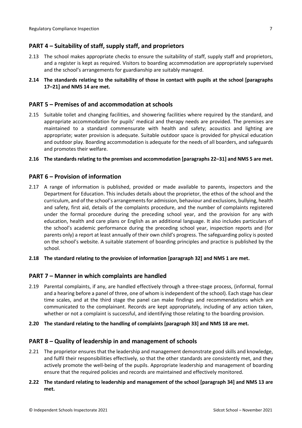# <span id="page-6-0"></span>**PART 4 – Suitability of staff, supply staff, and proprietors**

- 2.13 The school makes appropriate checks to ensure the suitability of staff, supply staff and proprietors, and a register is kept as required. Visitors to boarding accommodation are appropriately supervised and the school's arrangements for guardianship are suitably managed.
- **2.14 The standards relating to the suitability of those in contact with pupils at the school [paragraphs 17–21] and NMS 14 are met.**

### <span id="page-6-1"></span>**PART 5 – Premises of and accommodation at schools**

2.15 Suitable toilet and changing facilities, and showering facilities where required by the standard, and appropriate accommodation for pupils' medical and therapy needs are provided. The premises are maintained to a standard commensurate with health and safety; acoustics and lighting are appropriate; water provision is adequate. Suitable outdoor space is provided for physical education and outdoor play. Boarding accommodation is adequate for the needs of all boarders, and safeguards and promotes their welfare.

#### **2.16 The standardsrelating to the premises and accommodation [paragraphs 22–31] and NMS 5 are met.**

#### <span id="page-6-2"></span>**PART 6 – Provision of information**

- 2.17 A range of information is published, provided or made available to parents, inspectors and the Department for Education. This includes details about the proprietor, the ethos of the school and the curriculum, and of the school's arrangementsfor admission, behaviour and exclusions, bullying, health and safety, first aid, details of the complaints procedure, and the number of complaints registered under the formal procedure during the preceding school year, and the provision for any with education, health and care plans or English as an additional language. It also includes particulars of the school's academic performance during the preceding school year, inspection reports and (for parents only) a report at least annually of their own child's progress. The safeguarding policy is posted on the school's website. A suitable statement of boarding principles and practice is published by the school.
- **2.18 The standard relating to the provision of information [paragraph 32] and NMS 1 are met.**

#### <span id="page-6-3"></span>**PART 7 – Manner in which complaints are handled**

- 2.19 Parental complaints, if any, are handled effectively through a three-stage process, (informal, formal and a hearing before a panel of three, one of whom is independent of the school). Each stage has clear time scales, and at the third stage the panel can make findings and recommendations which are communicated to the complainant. Records are kept appropriately, including of any action taken, whether or not a complaint is successful, and identifying those relating to the boarding provision.
- **2.20 The standard relating to the handling of complaints [paragraph 33] and NMS 18 are met.**

#### <span id="page-6-4"></span>**PART 8 – Quality of leadership in and management of schools**

- 2.21 The proprietor ensures that the leadership and management demonstrate good skills and knowledge, and fulfil their responsibilities effectively, so that the other standards are consistently met, and they actively promote the well-being of the pupils. Appropriate leadership and management of boarding ensure that the required policies and records are maintained and effectively monitored.
- **2.22 The standard relating to leadership and management of the school [paragraph 34] and NMS 13 are met.**